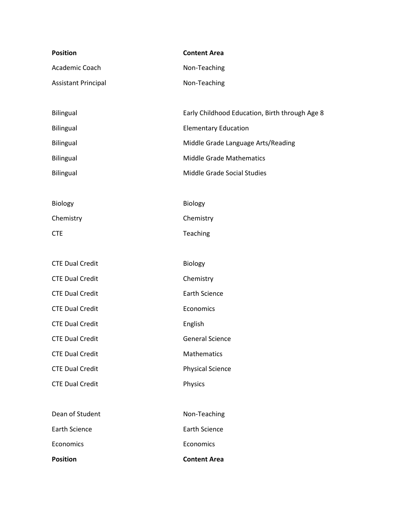| <b>Position</b>            | <b>Content Area</b>                            |
|----------------------------|------------------------------------------------|
| Academic Coach             | Non-Teaching                                   |
| <b>Assistant Principal</b> | Non-Teaching                                   |
|                            |                                                |
| <b>Bilingual</b>           | Early Childhood Education, Birth through Age 8 |
| <b>Bilingual</b>           | <b>Elementary Education</b>                    |
| <b>Bilingual</b>           | Middle Grade Language Arts/Reading             |
| <b>Bilingual</b>           | <b>Middle Grade Mathematics</b>                |
| <b>Bilingual</b>           | Middle Grade Social Studies                    |
|                            |                                                |
| <b>Biology</b>             | Biology                                        |
| Chemistry                  | Chemistry                                      |
| <b>CTE</b>                 | Teaching                                       |
|                            |                                                |
| <b>CTE Dual Credit</b>     | Biology                                        |
| <b>CTE Dual Credit</b>     | Chemistry                                      |
| <b>CTE Dual Credit</b>     | <b>Earth Science</b>                           |
| <b>CTE Dual Credit</b>     | Economics                                      |
| <b>CTE Dual Credit</b>     | English                                        |
| <b>CTE Dual Credit</b>     | <b>General Science</b>                         |
| <b>CTE Dual Credit</b>     | Mathematics                                    |
| <b>CTE Dual Credit</b>     | <b>Physical Science</b>                        |
| <b>CTE Dual Credit</b>     | Physics                                        |
|                            |                                                |
| Dean of Student            | Non-Teaching                                   |
| <b>Earth Science</b>       | <b>Earth Science</b>                           |
| Economics                  | Economics                                      |
| <b>Position</b>            | <b>Content Area</b>                            |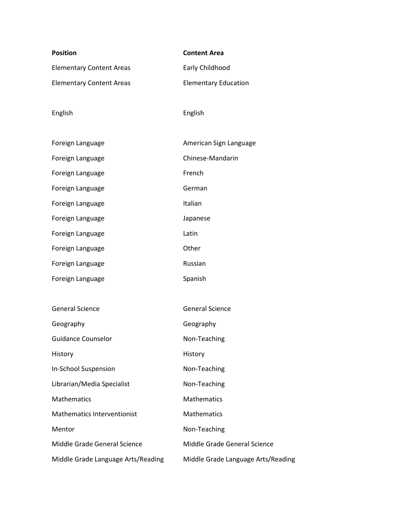| <b>Position</b>                    | <b>Content Area</b>                |
|------------------------------------|------------------------------------|
| <b>Elementary Content Areas</b>    | Early Childhood                    |
| <b>Elementary Content Areas</b>    | <b>Elementary Education</b>        |
|                                    |                                    |
| English                            | English                            |
|                                    |                                    |
| Foreign Language                   | American Sign Language             |
| Foreign Language                   | Chinese-Mandarin                   |
| Foreign Language                   | French                             |
| Foreign Language                   | German                             |
| Foreign Language                   | Italian                            |
| Foreign Language                   | Japanese                           |
| Foreign Language                   | Latin                              |
| Foreign Language                   | Other                              |
| Foreign Language                   | Russian                            |
| Foreign Language                   | Spanish                            |
|                                    |                                    |
| <b>General Science</b>             | <b>General Science</b>             |
| Geography                          | Geography                          |
| <b>Guidance Counselor</b>          | Non-Teaching                       |
| History                            | History                            |
| In-School Suspension               | Non-Teaching                       |
| Librarian/Media Specialist         | Non-Teaching                       |
| <b>Mathematics</b>                 | Mathematics                        |
| <b>Mathematics Interventionist</b> | Mathematics                        |
| Mentor                             | Non-Teaching                       |
| Middle Grade General Science       | Middle Grade General Science       |
| Middle Grade Language Arts/Reading | Middle Grade Language Arts/Reading |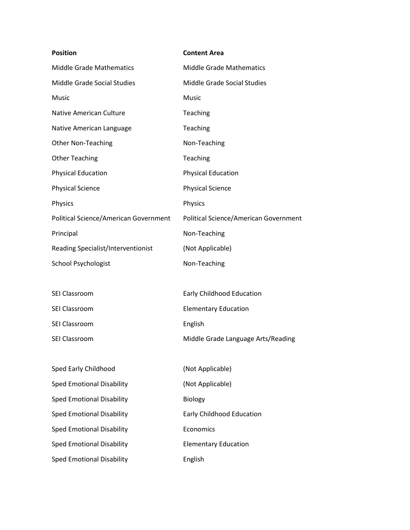| <b>Position</b>                       | <b>Content Area</b>                          |
|---------------------------------------|----------------------------------------------|
| <b>Middle Grade Mathematics</b>       | <b>Middle Grade Mathematics</b>              |
| Middle Grade Social Studies           | <b>Middle Grade Social Studies</b>           |
| Music                                 | Music                                        |
| Native American Culture               | Teaching                                     |
| Native American Language              | Teaching                                     |
| <b>Other Non-Teaching</b>             | Non-Teaching                                 |
| <b>Other Teaching</b>                 | Teaching                                     |
| <b>Physical Education</b>             | <b>Physical Education</b>                    |
| <b>Physical Science</b>               | <b>Physical Science</b>                      |
| Physics                               | Physics                                      |
| Political Science/American Government | <b>Political Science/American Government</b> |
| Principal                             | Non-Teaching                                 |
| Reading Specialist/Interventionist    | (Not Applicable)                             |
| <b>School Psychologist</b>            | Non-Teaching                                 |
|                                       |                                              |
| SEI Classroom                         | Early Childhood Education                    |
| SEI Classroom                         | <b>Elementary Education</b>                  |
| <b>SEI Classroom</b>                  | English                                      |

SEI Classroom **Middle Grade Language Arts/Reading** 

| Sped Early Childhood             | (Not Applicable)            |
|----------------------------------|-----------------------------|
| Sped Emotional Disability        | (Not Applicable)            |
| <b>Sped Emotional Disability</b> | <b>Biology</b>              |
| <b>Sped Emotional Disability</b> | Early Childhood Education   |
| Sped Emotional Disability        | Economics                   |
| <b>Sped Emotional Disability</b> | <b>Elementary Education</b> |
| Sped Emotional Disability        | English                     |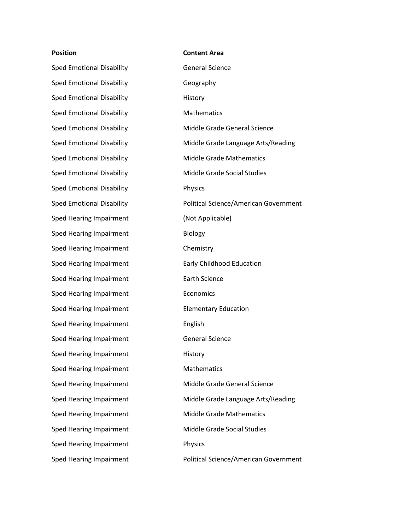Sped Emotional Disability **General Science** Sped Emotional Disability **Geography** Sped Emotional Disability **History** Sped Emotional Disability Mathematics Sped Emotional Disability **Physics** Sped Hearing Impairment (Not Applicable) Sped Hearing Impairment Biology Sped Hearing Impairment Chemistry Sped Hearing Impairment Early Childhood Education Sped Hearing Impairment Earth Science Sped Hearing Impairment **Example 2018** Economics Sped Hearing Impairment Elementary Education Sped Hearing Impairment English Sped Hearing Impairment General Science Sped Hearing Impairment First History Sped Hearing Impairment Mathematics Sped Hearing Impairment **Physics** 

## **Position Content Area**

Sped Emotional Disability **Middle Grade General Science** Sped Emotional Disability Middle Grade Language Arts/Reading Sped Emotional Disability Middle Grade Mathematics Sped Emotional Disability Middle Grade Social Studies Sped Emotional Disability **Political Science/American Government** Sped Hearing Impairment **Middle Grade General Science** Sped Hearing Impairment **Middle Grade Language Arts/Reading** Sped Hearing Impairment Middle Grade Mathematics Sped Hearing Impairment Middle Grade Social Studies Sped Hearing Impairment **Political Science/American Government**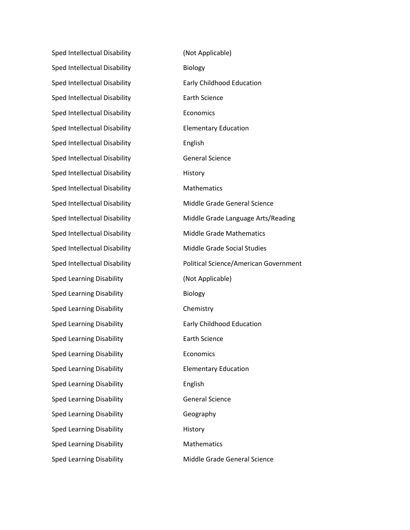Sped Intellectual Disability (Not Applicable) Sped Intellectual Disability **Biology** Sped Intellectual Disability **Early Childhood Education** Sped Intellectual Disability **Earth Science** Sped Intellectual Disability **Economics** Sped Intellectual Disability **Elementary Education** Sped Intellectual Disability **English** Sped Intellectual Disability General Science Sped Intellectual Disability **History** Sped Intellectual Disability Mathematics Sped Intellectual Disability Middle Grade Mathematics Sped Intellectual Disability Middle Grade Social Studies Sped Learning Disability (Not Applicable) Sped Learning Disability **Biology** Sped Learning Disability **Chemistry** Sped Learning Disability **Early Childhood Education** Sped Learning Disability **Earth Science** Sped Learning Disability **Example 20** Economics Sped Learning Disability **Elementary Education** Sped Learning Disability **English** Sped Learning Disability General Science Sped Learning Disability **Geography** Sped Learning Disability **History** Sped Learning Disability Mathematics

Sped Intellectual Disability Middle Grade General Science Sped Intellectual Disability Middle Grade Language Arts/Reading Sped Intellectual Disability **Political Science/American Government** Sped Learning Disability **Middle Grade General Science**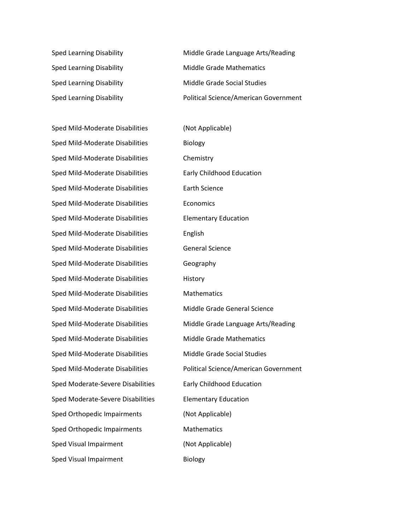Sped Mild-Moderate Disabilities (Not Applicable) Sped Mild-Moderate Disabilities Biology Sped Mild-Moderate Disabilities Chemistry Sped Mild-Moderate Disabilities Early Childhood Education Sped Mild-Moderate Disabilities Earth Science Sped Mild-Moderate Disabilities Economics Sped Mild-Moderate Disabilities Elementary Education Sped Mild-Moderate Disabilities English Sped Mild-Moderate Disabilities General Science Sped Mild-Moderate Disabilities Geography Sped Mild-Moderate Disabilities History Sped Mild-Moderate Disabilities Mathematics Sped Mild-Moderate Disabilities Middle Grade General Science Sped Mild-Moderate Disabilities Middle Grade Mathematics Sped Mild-Moderate Disabilities Middle Grade Social Studies Sped Moderate-Severe Disabilities Early Childhood Education Sped Moderate-Severe Disabilities Elementary Education Sped Orthopedic Impairments (Not Applicable) Sped Orthopedic Impairments Mathematics Sped Visual Impairment (Not Applicable) Sped Visual Impairment Biology

Sped Learning Disability **Middle Grade Language Arts/Reading** Sped Learning Disability Middle Grade Mathematics Sped Learning Disability **Middle Grade Social Studies** Sped Learning Disability **Political Science/American Government** 

Sped Mild-Moderate Disabilities Middle Grade Language Arts/Reading Sped Mild-Moderate Disabilities Political Science/American Government